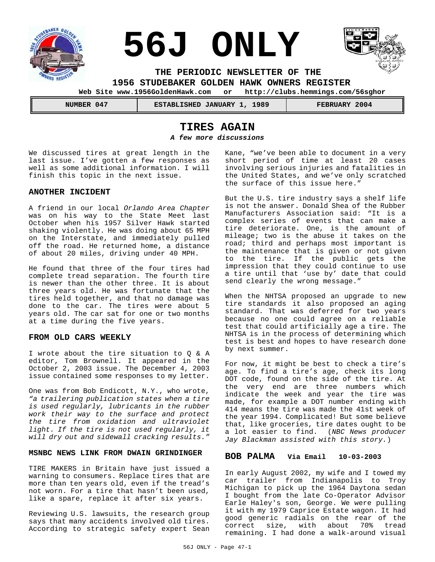

 **NUMBER 047 ESTABLISHED JANUARY 1, 1989 FEBRUARY 2004**

## **TIRES AGAIN**

*A few more discussions*

We discussed tires at great length in the last issue. I've gotten a few responses as well as some additional information. I will finish this topic in the next issue.

#### **ANOTHER INCIDENT**

A friend in our local *Orlando Area Chapter* was on his way to the State Meet last October when his 1957 Silver Hawk started shaking violently. He was doing about 65 MPH on the Interstate, and immediately pulled off the road. He returned home, a distance of about 20 miles, driving under 40 MPH.

He found that three of the four tires had complete tread separation. The fourth tire is newer than the other three. It is about three years old. He was fortunate that the tires held together, and that no damage was done to the car. The tires were about 5 years old. The car sat for one or two months at a time during the five years.

#### **FROM OLD CARS WEEKLY**

I wrote about the tire situation to Q & A editor, Tom Brownell. It appeared in the October 2, 2003 issue. The December 4, 2003 issue contained some responses to my letter.

One was from Bob Endicott, N.Y., who wrote, *"a trailering publication states when a tire is used regularly, lubricants in the rubber work their way to the surface and protect the tire from oxidation and ultraviolet light. If the tire is not used regularly, it will dry out and sidewall cracking results."*

#### **MSNBC NEWS LINK FROM DWAIN GRINDINGER**

TIRE MAKERS in Britain have just issued a warning to consumers. Replace tires that are more than ten years old, even if the tread's not worn. For a tire that hasn't been used, like a spare, replace it after six years.

Reviewing U.S. lawsuits, the research group says that many accidents involved old tires. According to strategic safety expert Sean Kane, "we've been able to document in a very short period of time at least 20 cases involving serious injuries and fatalities in the United States, and we've only scratched the surface of this issue here."

But the U.S. tire industry says a shelf life is not the answer. Donald Shea of the Rubber Manufacturers Association said: "It is a complex series of events that can make a tire deteriorate. One, is the amount of mileage; two is the abuse it takes on the road; third and perhaps most important is the maintenance that is given or not given to the tire. If the public gets the impression that they could continue to use a tire until that 'use by' date that could send clearly the wrong message."

When the NHTSA proposed an upgrade to new tire standards it also proposed an aging standard. That was deferred for two years because no one could agree on a reliable test that could artificially age a tire. The NHTSA is in the process of determining which test is best and hopes to have research done by next summer.

For now, it might be best to check a tire's age. To find a tire's age, check its long DOT code, found on the side of the tire. At the very end are three numbers which indicate the week and year the tire was made, for example a DOT number ending with 414 means the tire was made the 41st week of the year 1994. Complicated! But some believe that, like groceries, tire dates ought to be a lot easier to find. (*NBC News producer Jay Blackman assisted with this story.*)

#### **BOB PALMA Via Email 10-03-2003**

In early August 2002, my wife and I towed my car trailer from Indianapolis to Troy Michigan to pick up the 1964 Daytona sedan I bought from the late Co-Operator Advisor Earle Haley's son, George. We were pulling it with my 1979 Caprice Estate wagon. It had good generic radials on the rear of the correct size, with about 70% tread remaining. I had done a walk-around visual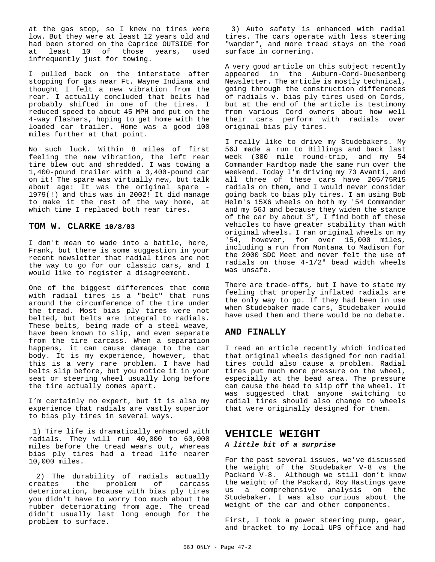at the gas stop, so I knew no tires were low. But they were at least 12 years old and had been stored on the Caprice OUTSIDE for at least 10 of those years, used infrequently just for towing.

I pulled back on the interstate after stopping for gas near Ft. Wayne Indiana and thought I felt a new vibration from the rear. I actually concluded that belts had probably shifted in one of the tires. I reduced speed to about 45 MPH and put on the 4-way flashers, hoping to get home with the loaded car trailer. Home was a good 100 miles further at that point.

No such luck. Within 8 miles of first feeling the new vibration, the left rear tire blew out and shredded. I was towing a 1,400-pound trailer with a 3,400-pound car on it! The spare was virtually new, but talk about age: It was the original spare - 1979(!) and this was in 2002! It did manage to make it the rest of the way home, at which time I replaced both rear tires.

#### **TOM W. CLARKE 10/8/03**

I don't mean to wade into a battle, here, Frank, but there is some suggestion in your recent newsletter that radial tires are not the way to go for our classic cars, and I would like to register a disagreement.

One of the biggest differences that come with radial tires is a "belt" that runs around the circumference of the tire under the tread. Most bias ply tires were not belted, but belts are integral to radials. These belts, being made of a steel weave, have been known to slip, and even separate from the tire carcass. When a separation happens, it can cause damage to the car body. It is my experience, however, that this is a very rare problem. I have had belts slip before, but you notice it in your seat or steering wheel usually long before the tire actually comes apart.

I'm certainly no expert, but it is also my experience that radials are vastly superior to bias ply tires in several ways.

 1) Tire life is dramatically enhanced with radials. They will run 40,000 to 60,000 miles before the tread wears out, whereas bias ply tires had a tread life nearer 10,000 miles.

 2) The durability of radials actually creates the problem of carcass deterioration, because with bias ply tires you didn't have to worry too much about the rubber deteriorating from age. The tread didn't usually last long enough for the problem to surface.

 3) Auto safety is enhanced with radial tires. The cars operate with less steering "wander", and more tread stays on the road surface in cornering.

A very good article on this subject recently appeared in the Auburn-Cord-Duesenberg Newsletter. The article is mostly technical, going through the construction differences of radials v. bias ply tires used on Cords, but at the end of the article is testimony from various Cord owners about how well their cars perform with radials over original bias ply tires.

I really like to drive my Studebakers. My 56J made a run to Billings and back last week (300 mile round-trip, and my 54 Commander Hardtop made the same run over the weekend. Today I'm driving my 73 Avanti, and all three of these cars have 205/75R15 radials on them, and I would never consider going back to bias ply tires. I am using Bob Helm's 15X6 wheels on both my '54 Commander and my 56J and because they widen the stance of the car by about 3", I find both of these vehicles to have greater stability than with original wheels. I ran original wheels on my '54, however, for over 15,000 miles, including a run from Montana to Madison for the 2000 SDC Meet and never felt the use of radials on those 4-1/2" bead width wheels was unsafe.

There are trade-offs, but I have to state my feeling that properly inflated radials are the only way to go. If they had been in use when Studebaker made cars, Studebaker would have used them and there would be no debate.

#### **AND FINALLY**

I read an article recently which indicated that original wheels designed for non radial tires could also cause a problem. Radial tires put much more pressure on the wheel, especially at the bead area. The pressure can cause the bead to slip off the wheel. It was suggested that anyone switching to radial tires should also change to wheels that were originally designed for them.

# **VEHICLE WEIGHT**

### *A little bit of a surprise*

For the past several issues, we've discussed the weight of the Studebaker V-8 vs the Packard V-8. Although we still don't know the weight of the Packard, Roy Hastings gave us a comprehensive analysis on the Studebaker. I was also curious about the weight of the car and other components.

First, I took a power steering pump, gear, and bracket to my local UPS office and had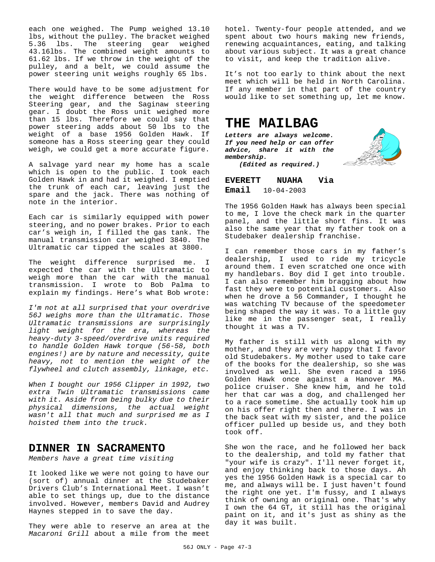each one weighed. The Pump weighed 13.10 lbs, without the pulley. The bracket weighed 5.36 lbs. The steering gear weighed 43.16lbs. The combined weight amounts to 61.62 lbs. If we throw in the weight of the pulley, and a belt, we could assume the power steering unit weighs roughly 65 lbs.

There would have to be some adjustment for the weight difference between the Ross Steering gear, and the Saginaw steering gear. I doubt the Ross unit weighed more than 15 lbs. Therefore we could say that power steering adds about 50 lbs to the weight of a base 1956 Golden Hawk. If someone has a Ross steering gear they could weigh, we could get a more accurate figure.

A salvage yard near my home has a scale which is open to the public. I took each Golden Hawk in and had it weighed. I emptied the trunk of each car, leaving just the spare and the jack. There was nothing of note in the interior.

Each car is similarly equipped with power steering, and no power brakes. Prior to each car's weigh in, I filled the gas tank. The manual transmission car weighed 3840. The Ultramatic car tipped the scales at 3800.

The weight difference surprised me. I expected the car with the Ultramatic to weigh more than the car with the manual transmission. I wrote to Bob Palma to explain my findings. Here's what Bob wrote:

*I'm not at all surprised that your overdrive 56J weighs more than the Ultramatic. Those Ultramatic transmissions are surprisingly light weight for the era, whereas the heavy-duty 3-speed/overdrive units required to handle Golden Hawk torque (56-58, both engines!) are by nature and necessity, quite heavy, not to mention the weight of the flywheel and clutch assembly, linkage, etc.*

*When I bought our 1956 Clipper in 1992, two extra Twin Ultramatic transmissions came with it. Aside from being bulky due to their physical dimensions, the actual weight wasn't all that much and surprised me as I hoisted them into the truck.*

### **DINNER IN SACRAMENTO**

*Members have a great time visiting*

It looked like we were not going to have our (sort of) annual dinner at the Studebaker Drivers Club's International Meet. I wasn't able to set things up, due to the distance involved. However, members David and Audrey Haynes stepped in to save the day.

They were able to reserve an area at the *Macaroni Grill* about a mile from the meet

hotel. Twenty-four people attended, and we spent about two hours making new friends, renewing acquaintances, eating, and talking about various subject. It was a great chance to visit, and keep the tradition alive.

It's not too early to think about the next meet which will be held in North Carolina. If any member in that part of the country would like to set something up, let me know.

## **THE MAILBAG**

*Letters are always welcome. If you need help or can offer advice, share it with the membership.*



*(Edited as required.)*

**EVERETT NUAHA Via Email** 10-04-2003

The 1956 Golden Hawk has always been special to me, I love the check mark in the quarter panel, and the little short fins. It was also the same year that my father took on a Studebaker dealership franchise.

I can remember those cars in my father's dealership, I used to ride my tricycle around them. I even scratched one once with my handlebars. Boy did I get into trouble. I can also remember him bragging about how fast they were to potential customers. Also when he drove a 56 Commander, I thought he was watching TV because of the speedometer being shaped the way it was. To a little guy like me in the passenger seat, I really thought it was a TV.

My father is still with us along with my mother, and they are very happy that I favor old Studebakers. My mother used to take care of the books for the dealership, so she was involved as well. She even raced a 1956 Golden Hawk once against a Hanover MA. police cruiser. She knew him, and he told her that car was a dog, and challenged her to a race sometime. She actually took him up on his offer right then and there. I was in the back seat with my sister, and the police officer pulled up beside us, and they both took off.

She won the race, and he followed her back to the dealership, and told my father that "your wife is crazy". I'll never forget it, and enjoy thinking back to those days. Ah yes the 1956 Golden Hawk is a special car to me, and always will be. I just haven't found the right one yet. I'm fussy, and I always think of owning an original one. That's why I own the 64 GT, it still has the original paint on it, and it's just as shiny as the day it was built.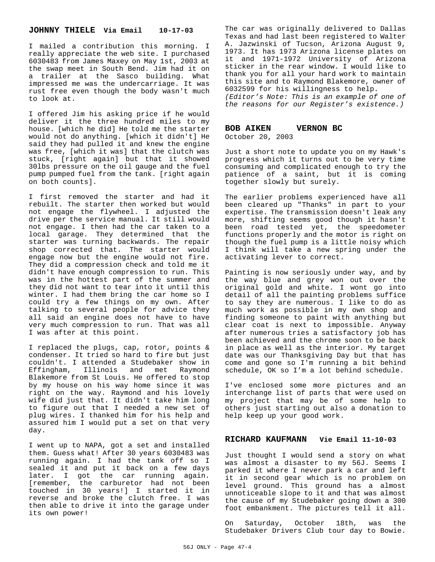#### **JOHNNY THIELE Via Email 10-17-03**

I mailed a contribution this morning. I really appreciate the web site. I purchased 6030483 from James Maxey on May 1st, 2003 at the swap meet in South Bend. Jim had it on a trailer at the Sasco building. What impressed me was the undercarriage. It was rust free even though the body wasn't much to look at.

I offered Jim his asking price if he would deliver it the three hundred miles to my house. [which he did] He told me the starter would not do anything. [which it didn't] He said they had pulled it and knew the engine was free, [which it was] that the clutch was stuck, [right again] but that it showed 30lbs pressure on the oil gauge and the fuel pump pumped fuel from the tank. [right again on both counts].

I first removed the starter and had it rebuilt. The starter then worked but would not engage the flywheel. I adjusted the drive per the service manual. It still would not engage. I then had the car taken to a local garage. They determined that the starter was turning backwards. The repair shop corrected that. The starter would engage now but the engine would not fire. They did a compression check and told me it didn't have enough compression to run. This was in the hottest part of the summer and they did not want to tear into it until this winter. I had them bring the car home so I could try a few things on my own. After talking to several people for advice they all said an engine does not have to have very much compression to run. That was all I was after at this point.

I replaced the plugs, cap, rotor, points & condenser. It tried so hard to fire but just couldn't. I attended a Studebaker show in Effingham, Illinois and met Raymond Blakemore from St Louis. He offered to stop by my house on his way home since it was right on the way. Raymond and his lovely wife did just that. It didn't take him long to figure out that I needed a new set of plug wires. I thanked him for his help and assured him I would put a set on that very day.

I went up to NAPA, got a set and installed them. Guess what! After 30 years 6030483 was running again. I had the tank off so I sealed it and put it back on a few days later. I got the car running again. [remember, the carburetor had not been touched in 30 years!] I started it in reverse and broke the clutch free. I was then able to drive it into the garage under its own power!

The car was originally delivered to Dallas Texas and had last been registered to Walter A. Jazwinski of Tucson, Arizona August 9, 1973. It has 1973 Arizona license plates on it and 1971-1972 University of Arizona sticker in the rear window. I would like to thank you for all your hard work to maintain this site and to Raymond Blakemore, owner of 6032599 for his willingness to help. *(Editor's Note: This is an example of one of*

*the reasons for our Register's existence.)*

# **BOB AIKEN VERNON BC**

October 20, 2003

Just a short note to update you on my Hawk's progress which it turns out to be very time consuming and complicated enough to try the patience of a saint, but it is coming together slowly but surely.

The earlier problems experienced have all been cleared up "Thanks" in part to your expertise. The transmission doesn't leak any more, shifting seems good though it hasn't been road tested yet, the speedometer functions properly and the motor is right on though the fuel pump is a little noisy which I think will take a new spring under the activating lever to correct.

Painting is now seriously under way, and by the way blue and grey won out over the original gold and white. I wont go into detail of all the painting problems suffice to say they are numerous. I like to do as much work as possible in my own shop and finding someone to paint with anything but clear coat is next to impossible. Anyway after numerous tries a satisfactory job has been achieved and the chrome soon to be back in place as well as the interior. My target date was our Thanksgiving Day but that has come and gone so I'm running a bit behind schedule, OK so I'm a lot behind schedule.

I've enclosed some more pictures and an interchange list of parts that were used on my project that may be of some help to others just starting out also a donation to help keep up your good work.

#### **RICHARD KAUFMANN Vie Email 11-10-03**

Just thought I would send a story on what was almost a disaster to my 56J. Seems I parked it where I never park a car and left it in second gear which is no problem on level ground. This ground has a almost unnoticeable slope to it and that was almost the cause of my Studebaker going down a 300 foot embankment. The pictures tell it all.

On Saturday, October 18th, was the Studebaker Drivers Club tour day to Bowie.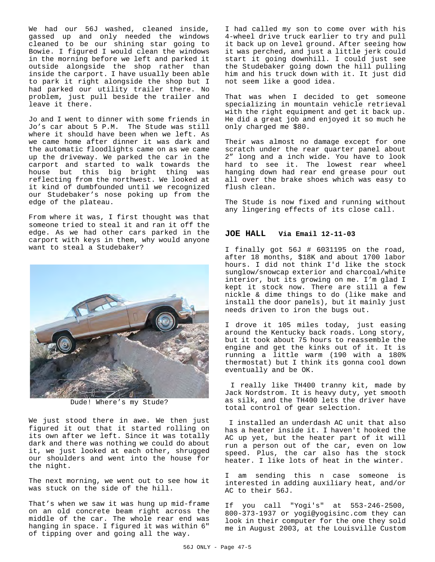We had our 56J washed, cleaned inside, gassed up and only needed the windows cleaned to be our shining star going to Bowie. I figured I would clean the windows in the morning before we left and parked it outside alongside the shop rather than inside the carport. I have usually been able to park it right alongside the shop but I had parked our utility trailer there. No problem, just pull beside the trailer and leave it there.

Jo and I went to dinner with some friends in Jo's car about 5 P.M. The Stude was still where it should have been when we left. As we came home after dinner it was dark and the automatic floodlights came on as we came up the driveway. We parked the car in the carport and started to walk towards the house but this big bright thing was reflecting from the northwest. We looked at it kind of dumbfounded until we recognized our Studebaker's nose poking up from the edge of the plateau.

From where it was, I first thought was that someone tried to steal it and ran it off the edge. As we had other cars parked in the carport with keys in them, why would anyone want to steal a Studebaker?



Dude! Where's my Stude?

We just stood there in awe. We then just figured it out that it started rolling on its own after we left. Since it was totally dark and there was nothing we could do about it, we just looked at each other, shrugged our shoulders and went into the house for the night.

The next morning, we went out to see how it was stuck on the side of the hill.

That's when we saw it was hung up mid-frame on an old concrete beam right across the middle of the car. The whole rear end was hanging in space. I figured it was within 6" of tipping over and going all the way.

I had called my son to come over with his 4-wheel drive truck earlier to try and pull it back up on level ground. After seeing how it was perched, and just a little jerk could start it going downhill. I could just see the Studebaker going down the hill pulling him and his truck down with it. It just did not seem like a good idea.

That was when I decided to get someone specializing in mountain vehicle retrieval with the right equipment and get it back up. He did a great job and enjoyed it so much he only charged me \$80.

Their was almost no damage except for one scratch under the rear quarter panel about 2" long and a inch wide. You have to look hard to see it. The lowest rear wheel hanging down had rear end grease pour out all over the brake shoes which was easy to flush clean.

The Stude is now fixed and running without any lingering effects of its close call.

#### **JOE HALL Via Email 12-11-03**

I finally got 56J # 6031195 on the road, after 18 months, \$18K and about 1700 labor hours. I did not think I'd like the stock sunglow/snowcap exterior and charcoal/white interior, but its growing on me. I'm glad I kept it stock now. There are still a few nickle & dime things to do (like make and install the door panels), but it mainly just needs driven to iron the bugs out.

I drove it 105 miles today, just easing around the Kentucky back roads. Long story, but it took about 75 hours to reassemble the engine and get the kinks out of it. It is running a little warm (190 with a 180% thermostat) but I think its gonna cool down eventually and be OK.

 I really like TH400 tranny kit, made by Jack Nordstrom. It is heavy duty, yet smooth as silk, and the TH400 lets the driver have total control of gear selection.

 I installed an underdash AC unit that also has a heater inside it. I haven't hooked the AC up yet, but the heater part of it will run a person out of the car, even on low speed. Plus, the car also has the stock heater. I like lots of heat in the winter.

I am sending this n case someone is interested in adding auxiliary heat, and/or AC to their 56J.

If you call "Yogi's" at 553-246-2500, 800-373-1937 or yogi@yogisinc.com they can look in their computer for the one they sold me in August 2003, at the Louisville Custom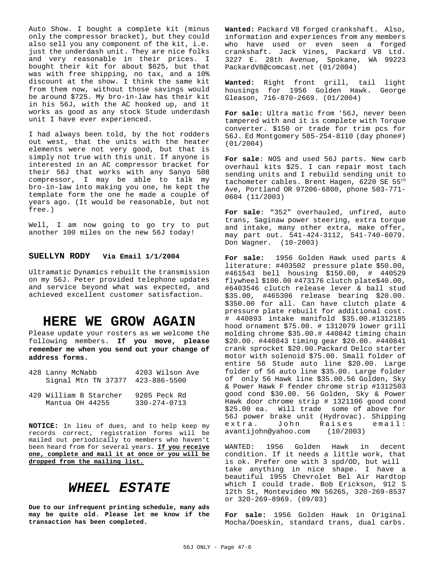Auto Show. I bought a complete kit (minus only the compressor bracket), but they could also sell you any component of the kit, i.e. just the underdash unit. They are nice folks and very reasonable in their prices. I bought their kit for about \$625, but that was with free shipping, no tax, and a 10% discount at the show. I think the same kit from them now, without those savings would be around \$725. My bro-in-law has their kit in his 56J, with the AC hooked up, and it works as good as any stock Stude underdash unit I have ever experienced.

I had always been told, by the hot rodders out west, that the units with the heater elements were not very good, but that is simply not true with this unit. If anyone is interested in an AC compressor bracket for their 56J that works with any Sanyo 508 compressor, I may be able to talk my bro-in-law into making you one, he kept the template form the one he made a couple of years ago. (It would be reasonable, but not free.)

Well, I am now going to go try to put another 100 miles on the new 56J today!

#### **SUELLYN RODY Via Email 1/1/2004**

Ultramatic Dynamics rebuilt the transmission on my 56J. Peter provided telephone updates and service beyond what was expected, and achieved excellent customer satisfaction.

## **HERE WE GROW AGAIN**

Please update your rosters as we welcome the following members. **If you move, please remember me when you send out your change of address forms.**

| 428 Lanny McNabb                 | 4203 Wilson Ave    |  |
|----------------------------------|--------------------|--|
| Signal Mtn TN 37377 423-886-5500 |                    |  |
| 429 William B Starcher           | 9205 Peck Rd       |  |
| Mantua OH 44255                  | $330 - 274 - 0713$ |  |

**NOTICE:** In lieu of dues, and to help keep my records correct, registration forms will be mailed out periodically to members who haven't been heard from for several years. **If you receive one, complete and mail it at once or you will be dropped from the mailing list.**

# *WHEEL ESTATE*

**Due to our infrequent printing schedule, many ads may be quite old. Please let me know if the transaction has been completed.**

**Wanted:** Packard V8 forged crankshaft. Also, information and experiences from any members who have used or even seen a forged crankshaft. Jack Vines, Packard V8 Ltd. 3227 E. 28th Avenue, Spokane, WA 99223 PackardV8@comcast.net (01/2004)

**Wanted:** Right front grill, tail light housings for 1956 Golden Hawk. George Gleason, 716-870-2669. (01/2004)

**For sale:** Ultra matic from '56J, never been tampered with and it is complete with Torque converter. \$150 or trade for trim pcs for 56J. Ed Montgomery 585-254-8110 (day phone#) (01/2004)

**For sale**: NOS and used 56J parts. New carb overhaul kits \$25. I can repair most tach sending units and I rebuild sending unit to tachometer cables. Brent Hagen, 6220 SE 55<sup>th</sup> Ave, Portland OR 97206-6800, phone 503-771- 0604 (11/2003)

**For sale**: "352" overhauled, unfired, auto trans, Saginaw power steering, extra torque and intake, many other extra, make offer, may part out. 541-424-3112, 541-740-6079. Don Wagner. (10-2003)

**For sale:** 1956 Golden Hawk used parts & literature: #403502 pressure plate \$50.00, #461543 bell housing \$150.00, # 440529 flywheel \$100.00 #473176 clutch plate\$40.00, #6403546 clutch release lever & ball stud \$35.00, #465306 release bearing \$20.00. \$350.00 for all. Can have clutch plate & pressure plate rebuilt for additional cost. # 440893 intake manifold \$35.00.#1312185 hood ornament \$75.00. # 1312079 lower grill molding chrome \$35.00.# 440842 timing chain \$20.00. #440843 timing gear \$20.00. #440841 crank sprocket \$20.00.Packard Delco starter motor with solenoid \$75.00. Small folder of entire 56 Stude auto line \$20.00. Large folder of 56 auto line \$35.00. Large folder of only 56 Hawk line \$35.00.56 Golden, Sky & Power Hawk F fender chrome strip #1312503 good cond \$30.00. 56 Golden, Sky & Power Hawk door chrome strip # 1321106 good cond \$25.00 ea. Will trade some of above for 56J power brake unit (Hydrovac). Shipping extra. John Raises avantijohn@yahoo.com (10/2003)

WANTED: 1956 Golden Hawk in decent condition. If it needs a little work, that is ok. Prefer one with 3 spd/OD, but will take anything in nice shape. I have a beautiful 1955 Chevrolet Bel Air Hardtop which I could trade. Bob Erickson, 912 S 12th St, Montevideo MN 56265, 320-269-8537 or 320-269-8969. (09/03)

**For sale:** 1956 Golden Hawk in Original Mocha/Doeskin, standard trans, dual carbs.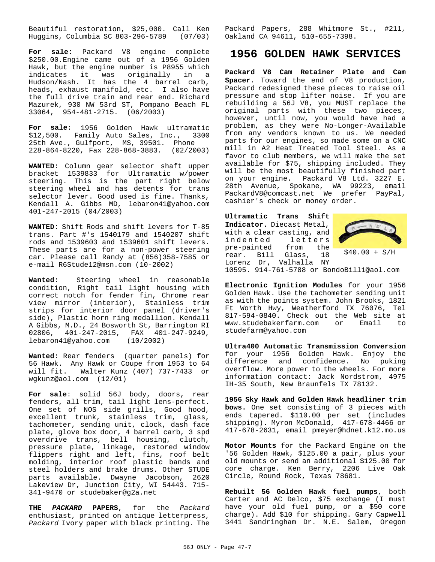Beautiful restoration, \$25,000. Call Ken Huggins, Columbia SC 803-296-5789 (07/03)

**For sale:** Packard V8 engine complete \$250.00.Engine came out of a 1956 Golden Hawk, but the engine number is P8955 which indicates it was originally in a Hudson/Nash. It has the 4 barrel carb, heads, exhaust manifold, etc. I also have the full drive train and rear end. Richard Mazurek, 930 NW 53rd ST, Pompano Beach FL 33064, 954-481-2715. (06/2003)

**For sale:** 1956 Golden Hawk ultramatic \$12,500. Family Auto Sales, Inc., 3300 25th Ave., Gulfport, MS, 39501. Phone 228-864-8220, Fax 228-868-3883. (02/2003)

**WANTED:** Column gear selector shaft upper bracket 1539833 for Ultramatic w/power steering. This is the part right below steering wheel and has detents for trans selector lever. Good used is fine. Thanks, Kendall A. Gibbs MD, lebaron41@yahoo.com 401-247-2015 (04/2003)

**WANTED:** Shift Rods and shift levers for T-85 trans. Part #'s 1540179 and 1540207 shift rods and 1539603 and 1539601 shift levers. These parts are for a non-power steering car. Please call Randy at (856)358-7585 or e-mail R6Stude12@msn.com (10-2002)

**Wanted:** Steering wheel in reasonable condition, Right tail light housing with correct notch for fender fin, Chrome rear view mirror (interior), Stainless trim strips for interior door panel (driver's side), Plastic horn ring medallion. Kendall A Gibbs, M.D., 24 Bosworth St, Barrington RI 02806, 401-247-2015, FAX 401-247-9249, lebaron41@yahoo.com (10/2002)

**Wanted:** Rear fenders (quarter panels) for 56 Hawk. Any Hawk or Coupe from 1953 to 64 will fit. Walter Kunz (407) 737-7433 or wgkunz@aol.com (12/01)

**For sale**: solid 56J body, doors, rear fenders, all trim, tail light lens-perfect. One set of NOS side grills, Good hood, excellent trunk, stainless trim, glass, tachometer, sending unit, clock, dash face plate, glove box door, 4 barrel carb, 3 spd overdrive trans, bell housing, clutch, pressure plate, linkage, restored window flippers right and left, fins, roof belt molding, interior roof plastic bands and steel holders and brake drums. Other STUDE parts available. Dwayne Jacobson, 2620 Lakeview Dr, Junction City, WI 54443. 715- 341-9470 or studebaker@g2a.net

**THE** *PACKARD* **PAPERS**, for the *Packard* enthusiast, printed on antique letterpress, *Packard* Ivory paper with black printing. The

Packard Papers, 288 Whitmore St., #211, Oakland CA 94611, 510-655-7398.

## **1956 GOLDEN HAWK SERVICES**

**Packard V8 Cam Retainer Plate and Cam Spacer**. Toward the end of V8 production, Packard redesigned these pieces to raise oil pressure and stop lifter noise. If you are rebuilding a 56J V8, you MUST replace the original parts with these two pieces, however, until now, you would have had a problem, as they were No-Longer-Available from any vendors known to us. We needed parts for our engines, so made some on a CNC mill in A2 Heat Treated Tool Steel. As a favor to club members, we will make the set available for \$75, shipping included. They will be the most beautifully finished part on your engine. Packard V8 Ltd. 3227 E. 28th Avenue, Spokane, WA 99223, email PackardV8@comcast.net We prefer PayPal, cashier's check or money order.

**Ultramatic Trans Shift Indicator**. Diecast Metal, with a clear casting, and indented letters<br>pre-painted from the from the<br>Glass, 18 rear. Bill Glass, Lorenz Dr, Valhalla NY



 $$40.00 + S/H$ 

10595. 914-761-5788 or BondoBill1@aol.com

**Electronic Ignition Modules** for your 1956 Golden Hawk. Use the tachometer sending unit as with the points system. John Brooks, 1821 Ft Worth Hwy, Weatherford TX 76076, Tel 817-594-0840. Check out the Web site at<br>www.studebakerfarm.com or Email to www.studebakerfarm.com or Email to studefarm@yahoo.com

**Ultra400 Automatic Transmission Conversion** for your 1956 Golden Hawk. Enjoy the difference and confidence. No puking overflow. More power to the wheels. For more information contact: Jack Nordstrom, 4975 IH-35 South, New Braunfels TX 78132.

**1956 Sky Hawk and Golden Hawk headliner trim bows.** One set consisting of 3 pieces with ends tapered. \$110.00 per set (includes shipping). Myron McDonald, 417-678-4466 or 417-678-2631, email pmeyer@hdnet.k12.mo.us

**Motor Mounts** for the Packard Engine on the '56 Golden Hawk, \$125.00 a pair, plus your old mounts or send an additional \$125.00 for core charge. Ken Berry, 2206 Live Oak Circle, Round Rock, Texas 78681.

**Rebuilt 56 Golden Hawk fuel pumps**, both Carter and AC Delco, \$75 exchange (I must have your old fuel pump, or a \$50 core charge). Add \$10 for shipping. Gary Capwell 3441 Sandringham Dr. N.E. Salem, Oregon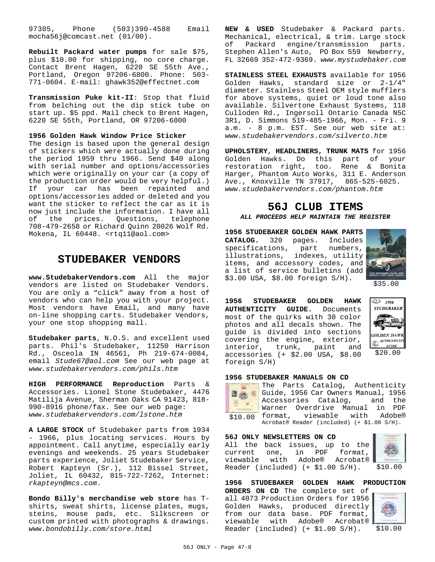97305, Phone (503)390-4588 Email mocha56j@comcast.net (01/00).

**Rebuilt Packard water pumps** for sale \$75, plus \$10.00 for shipping, no core charge. Contact Brent Hagen, 6220 SE 55th Ave., Portland, Oregon 97206-6800. Phone: 503- 771-0604. E-mail: ghawk352@effectnet.com

**Transmission Puke kit-II**: Stop that fluid from belching out the dip stick tube on start up. \$5 ppd. Mail check to Brent Hagen, 6220 SE 55th, Portland, OR 97206-6800

#### **1956 Golden Hawk Window Price Sticker**

The design is based upon the general design of stickers which were actually done during the period 1959 thru 1966. Send \$40 along with serial number and options/accessories which were originally on your car (a copy of the production order would be very helpful.) If your car has been repainted and options/accessories added or deleted and you want the sticker to reflect the car as it is now just include the information. I have all of the prices. Questions, telephone 708-479-2658 or Richard Quinn 20026 Wolf Rd. Mokena, IL 60448. <rtq11@aol.com>

### **STUDEBAKER VENDORS**

**www.StudebakerVendors.com** All the major vendors are listed on Studebaker Vendors. You are only a "click" away from a host of vendors who can help you with your project. Most vendors have Email, and many have on-line shopping carts. Studebaker Vendors, your one stop shopping mall.

**Studebaker parts**, N.O.S. and excellent used parts. Phil's Studebaker, 11250 Harrison Rd., Osceola IN 46561, Ph 219-674-0084, email *Stude67@aol.com* See our web page at *www.studebakervendors.com/phils.htm*

**HIGH PERFORMANCE Reproduction** Parts & Accessories. Lionel Stone Studebaker, 4476 Matilija Avenue, Sherman Oaks CA 91423, 818- 990-8916 phone/fax. See our web page: *www.studebakervendors.com/lstone.htm*

**A LARGE STOCK** of Studebaker parts from 1934 - 1966, plus locating services. Hours by appointment. Call anytime, especially early evenings and weekends. 25 years Studebaker parts experience, Joliet Studebaker Service, Robert Kapteyn (Sr.), 112 Bissel Street, Joliet, IL 60432, 815-722-7262, Internet: *rkapteyn@mcs.com*.

**Bondo Billy's merchandise web store** has Tshirts, sweat shirts, license plates, mugs, steins, mouse pads, etc. Silkscreen or custom printed with photographs & drawings. *www.bondobilly.com/store.html*

**NEW & USED** Studebaker & Packard parts. Mechanical, electrical, & trim. Large stock of Packard engine/transmission parts. Stephen Allen's Auto, PO Box 559 Newberry, FL 32669 352-472-9369. *www.mystudebaker.com*

**STAINLESS STEEL EXHAUSTS** available for 1956 Golden Hawks, standard size or 2-1/4" diameter. Stainless Steel OEM style mufflers for above systems, quiet or loud tone also available. Silvertone Exhaust Systems, 118 Culloden Rd., Ingersoll Ontario Canada N5C 3R1, D. Simmons 519-485-1966, Mon. - Fri. 9 a.m. - 8 p.m. EST. See our web site at: *www.studebakervendors.com/silverto.htm*

**UPHOLSTERY**, **HEADLINERS, TRUNK MATS** for 1956 Golden Hawks. Do this part of your restoration right, too. Rene & Bonita Harger, Phantom Auto Works, 311 E. Anderson Ave., Knoxville TN 37917, 865-525-6025. *www.studebakervendors.com/phantom.htm*

## **56J CLUB ITEMS**

*ALL PROCEEDS HELP MAINTAIN THE REGISTER*

**1956 STUDEBAKER GOLDEN HAWK PARTS CATALOG.** 320 pages. Includes specifications, part numbers, illustrations, indexes, utility items, and accessory codes, and  $\mathbb{R}$ . a list of service bulletins (add \$3.00 USA, \$8.00 foreign S/H).



\$35.00

**1956 STUDEBAKER GOLDEN HAWK AUTHENTICITY GUIDE.** Documents most of the quirks with 30 color photos and all decals shown. The guide is divided into sections covering the engine, exterior, interior, trunk, paint and accessories (+ \$2.00 USA, \$8.00 foreign S/H)



#### **1956 STUDEBAKER MANUALS ON CD**



\$10.00 format, viewable with Adobe® The Parts Catalog, Authenticity Guide, 1956 Car Owners Manual, 1956 Accessories Catalog, and the Warner Overdrive Manual in PDF Acrobat® Reader (included) (+ \$1.00 S/H).

**56J ONLY NEWSLETTERS ON CD**

All the back issues, up to the current one, in PDF format, viewable with Adobe® Acrobat® Reader (included) (+ \$1.00 S/H).



\$10.00

**1956 STUDEBAKER GOLDEN HAWK PRODUCTION**

**ORDERS ON CD** The complete set of all 4073 Production Orders for 1956 Golden Hawks, produced directly from our data base. PDF format, viewable with Adobe® Acrobat® Reader (included) (+ \$1.00 S/H).

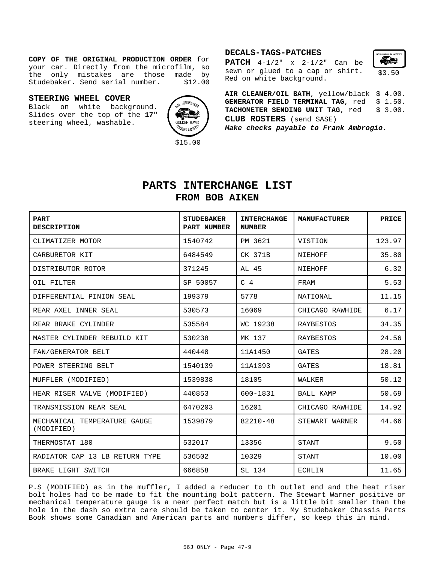#### **COPY OF THE ORIGINAL PRODUCTION ORDER** for your car. Directly from the microfilm, so the only mistakes are those made by Studebaker. Send serial number. \$12.00

#### **STEERING WHEEL COVER**

Black on white background. Slides over the top of the **17"** steering wheel, washable.



#### **DECALS-TAGS-PATCHES**

**PATCH** 4-1/2" x 2-1/2" Can be sewn or glued to a cap or shirt. Red on white background.



**AIR CLEANER/OIL BATH**, yellow/black \$ 4.00. GENERATOR FIELD TERMINAL TAG, red \$ 1.50. TACHOMETER SENDING UNIT TAG, red \$ 3.00. **CLUB ROSTERS** (send SASE) *Make checks payable to Frank Ambrogio.*

## **PARTS INTERCHANGE LIST FROM BOB AIKEN**

| <b>PART</b><br><b>DESCRIPTION</b>          | <b>STUDEBAKER</b><br>PART NUMBER | <b>INTERCHANGE</b><br><b>NUMBER</b> | <b>MANUFACTURER</b> | PRICE  |
|--------------------------------------------|----------------------------------|-------------------------------------|---------------------|--------|
| CLIMATIZER MOTOR                           | 1540742                          | PM 3621                             | VISTION             | 123.97 |
| CARBURETOR KIT                             | 6484549                          | CK 371B                             | NIEHOFF             | 35.80  |
| DISTRIBUTOR ROTOR                          | 371245                           | AL 45                               | NIEHOFF             | 6.32   |
| OIL FILTER                                 | SP 50057                         | C <sub>4</sub>                      | FRAM                | 5.53   |
| DIFFERENTIAL PINION SEAL                   | 199379                           | 5778                                | NATIONAL            | 11.15  |
| REAR AXEL INNER SEAL                       | 530573                           | 16069                               | CHICAGO RAWHIDE     | 6.17   |
| REAR BRAKE CYLINDER                        | 535584                           | WC 19238                            | RAYBESTOS           | 34.35  |
| MASTER CYLINDER REBUILD KIT                | 530238                           | MK 137                              | RAYBESTOS           | 24.56  |
| FAN/GENERATOR BELT                         | 440448                           | 11A1450                             | GATES               | 28.20  |
| POWER STEERING BELT                        | 1540139                          | 11A1393                             | GATES               | 18.81  |
| MUFFLER (MODIFIED)                         | 1539838                          | 18105                               | WALKER              | 50.12  |
| HEAR RISER VALVE (MODIFIED)                | 440853                           | 600-1831                            | <b>BALL KAMP</b>    | 50.69  |
| TRANSMISSION REAR SEAL                     | 6470203                          | 16201                               | CHICAGO RAWHIDE     | 14.92  |
| MECHANICAL TEMPERATURE GAUGE<br>(MODIFIED) | 1539879                          | 82210-48                            | STEWART WARNER      | 44.66  |
| THERMOSTAT 180                             | 532017                           | 13356                               | STANT               | 9.50   |
| RADIATOR CAP 13 LB RETURN TYPE             | 536502                           | 10329                               | STANT               | 10.00  |
| BRAKE LIGHT SWITCH                         | 666858                           | SL 134                              | ECHLIN              | 11.65  |

P.S (MODIFIED) as in the muffler, I added a reducer to th outlet end and the heat riser bolt holes had to be made to fit the mounting bolt pattern. The Stewart Warner positive or mechanical temperature gauge is a near perfect match but is a little bit smaller than the hole in the dash so extra care should be taken to center it. My Studebaker Chassis Parts Book shows some Canadian and American parts and numbers differ, so keep this in mind.